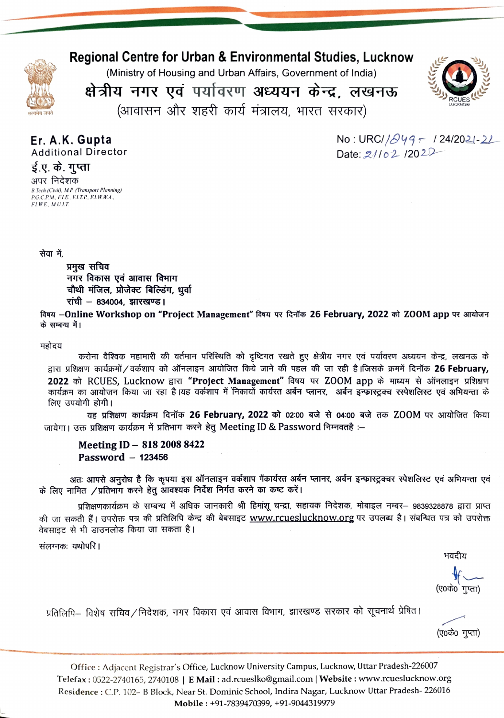

Regional Centre for Urban & Environmental Studies, Lucknow

(Ministry of Housing and Urban Affairs, Govemment of India)

क्षेत्रीय नगर एवं पर्यावरण अध्ययन केन्द्र, लखनऊ



(आवासन और शहरी कार्य मंत्रालय, भारत सरकार)

Er. A.K. Gupta Additional Director ई.ए. के. गुप्ता

 $No: URCI/\beta$ 49  $\tau$  / 24/2021-21 Date:  $2/102/202$ 

# अपर निदेशक B.Tech (Civil), M.P. (Transport Planning)<br>P.G.C.P.M., F.I.E., F.I.T.P., F.I.W.W.A., FLWE, M.U.L.T.

सेवा में,

प्रमुख सचिव नगर विकास एवं आवास विभाग चौथी मंजिल, प्रोजेक्ट बिल्डिंग, धूर्वा रांची  $-$  834004, झारखण्ड।

विषय –Online Workshop on "Project Management" विषय पर दिनॉक 26 February, 2022 को ZOOM app पर आयोजन<br>के सम्बन्ध में।

### महोदय

करोना वैश्विक महामारी की वर्तमान परिस्थिति को दृष्टिगत रखते हुए क्षेत्रीय नगर एवं पर्यावरण अध्ययन केन्द्र, लखनऊ के द्वारा प्रशिक्षण कार्यक्रमों / वर्कशाप को ऑनलाइन आयोजित किये जाने की पहल की जा रही है।जिसके क्रममें दिनॉक 26 February, 2022 को RCUES, Lucknow द्वारा "Project Management" विषय पर ZOOM app के माध्यम से ऑनलाइन प्रशिक्षण<br>कार्यक्रम का आयोजन किया जा रहा है।यह वर्कशाप में निकायों कार्यरत अर्बन प्लानर, अर्बन इन्फ्रास्ट्रक्च रस्पेशलिस्ट एवं अभियन्

लिए उपयोगी होगी।<br>यह प्रशिक्षण कार्यक्रम दिनॉक **26 February, 2022 को 02:00 बजे से 04:00 बजे** तक ZOOM पर आयोजित किया जायेगा। उक्त प्रशिक्षण कार्यक्रम में प्रतिभाग करने हेतु Meeting ID & Password निम्नवतहै :-

## Meeting ID - 818 2008 8422 Password  $-123456$

अतः आपसे अनुरोध है कि कृपया इस ऑनलाइन वर्कशाप गेंकार्यरत अर्बन प्लानर, अर्वन इन्फास्ट्रक्चर स्पेशलिस्ट एवं अभियन्ता एवं के लिए नामित /प्रतिभाग करने हेतू आवश्यक निर्देश निर्गत करने का कष्ट करें।

प्रशिक्षणकार्यक्रम के सम्बन्ध में अधिक जानकारी श्री हिमांशू चन्द्रा, सहायक निदेशक, मोबाइल नम्बर— 9839328878 द्वारा प्राप्त की जा सकती हैं। उपरोक्त पत्र की प्रतिलिपि केन्द्र की बेबसाइट www.rcueslucknow.org पर उपलब्ध है। संबन्धित पत्र को उपरोक्त वेबसाइट से भी डाउनलोड किया जा सकता है।

संलग्नकः यथोपरि ।

भवदीय

(ए०के० गुप्ता)

प्रतिलिपि— विशेष सचिव ⁄ निदेशक, नगर विकास एवं आवास विभाग, झारखण्ड सरकार को सूचनार्थ प्रेषित।

(ए०के० गुप्ता)

office: Adjacent Registrar's Office, Lucknow University Campus, Lucknow, Uttar Pradesh-226007 Telefax: 0522-2740165, 2740108 | E Mail: ad.rcueslko@gmail.com | Website: www.rcueslucknow.org Residence: C.P. 102- B Block, Near St. Dominic School, Indira Nagar, Lucknow Uttar Pradesh- 226016 Mobile: +91-7839470399, +91-9044319979